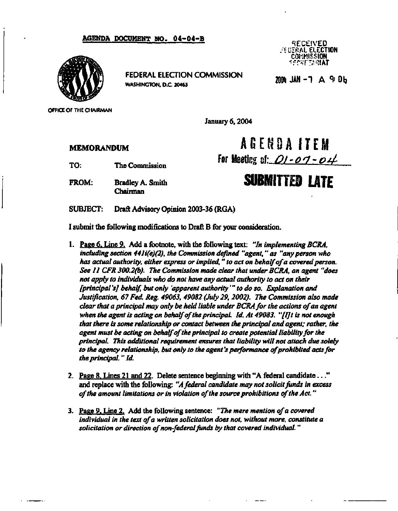## **AGENDA DOCUMENT NO. 04-04-B ... THE RESERVED**



**FEDERAL ELECTION COMMISSION**<br> **MAR** - T A 4: Ob **WASHINGTON, D.C. 20463** 

**. : b" I;ZftAL ELECTION COMMISSION <f •>•?"'/WAT** 

**OFFICE OF THE CHAIRMAN** 

**January 6,2004** 

## **MEMORANDUM**<br> **AGENDA ITEM**

FROM: Bradley A. Smith<br>Chairman **SUBMITTED LATE** 

TO: The Commission **For Meeting af:** *Q1 - 0 1 - 0 4* 

**SUBJECT:** Draft Advisory Opinion 2003-36 (RGA)

I submit the following modifications to Draft B for your consideration.

- **1. Paee 6. Line 9. Add a footnote, with the following text:** *"In implementing BCRA, including section 441i(e)(2), the Commission defined "agent," as "any person who has actual authority, either express or implied." to act on behalf of a covered person. See 11 CFR 300.2(b). The Commission made clear that under BCRA, an agent "does not apply to individuals who do not have any actual authority to act on their [principal 'sj behalf, but only 'apparent authority'" to do so. Explanation and Justification, 67 Fed. Reg. 49063, 49082 (July 29, 2002). The Commission also made clear that a principal may only be held liable under BCRA for the actions of an agent when the agent is acting on behalf of the principal. Id. At 49083. "[IJt is not enough that there is some relationship or contact between the principal and agent; rather, the agent must be acting on behalf of the principal to create potential liability for the principal. This additional requirement ensures that liability will not attach due solely to the agency relationship, but only to the agent's performance of prohibited acts for the principal. "Id.*
- *2.* **Paee 8. Lines 21 and 22. Delete sentence beginning with "A federal candidate..." and replace with the following:** *"A federal candidate may not solicit funds in excess of the amount limitations or in violation of the source prohibitions of the Act."*
- **3. Paee 9. Line 2. Add the following sentence:** *"The mere mention of a covered individual in the text of a written solicitation does not, without more, constitute a solicitation or direction of non-federal funds by that covered individual. "*